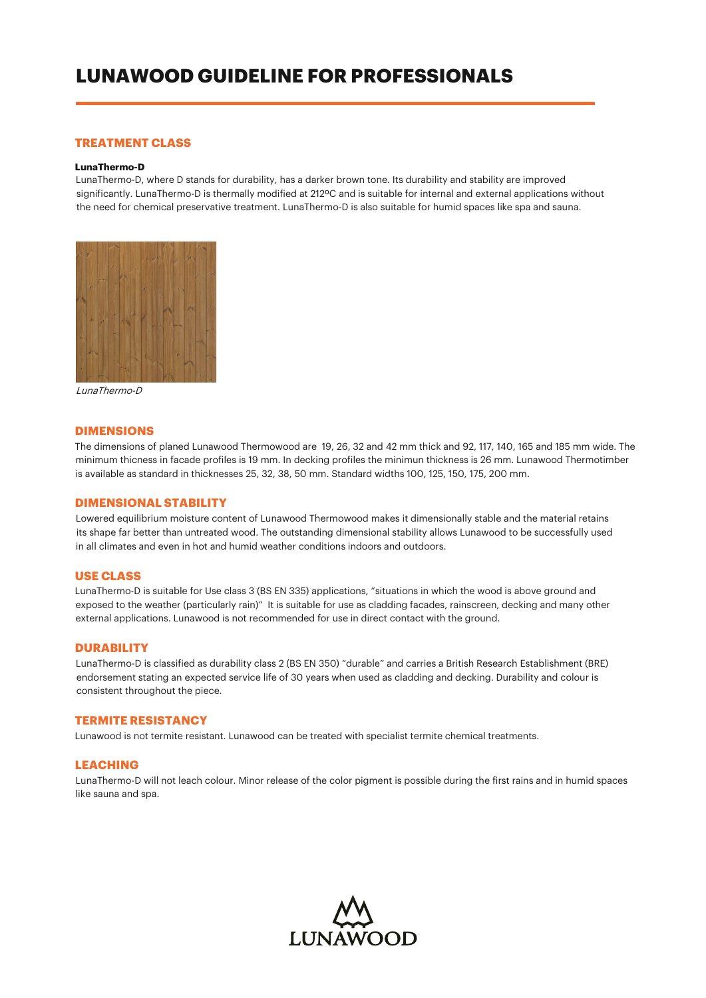# **LUNAWOOD GUIDELINE FOR PROFESSIONALS**

# **TREATMENT CLASS**

#### **LunaThermo-D**

LunaThermo-D, where D stands for durability, has a darker brown tone. Its durability and stability are improved significantly. LunaThermo-D is thermally modified at 212ºC and is suitable for internal and external applications without the need for chemical preservative treatment. LunaThermo-D is also suitable for humid spaces like spa and sauna.



LunaThermo-D

#### **DIMENSIONS**

The dimensions of planed Lunawood Thermowood are 19, 26, 32 and 42 mm thick and 92, 117, 140, 165 and 185 mm wide. The minimum thicness in facade profiles is 19 mm. In decking profiles the minimun thickness is 26 mm. Lunawood Thermotimber is available as standard in thicknesses 25, 32, 38, 50 mm. Standard widths 100, 125, 150, 175, 200 mm.

# **DIMENSIONAL STABILITY**

Lowered equilibrium moisture content of Lunawood Thermowood makes it dimensionally stable and the material retains its shape far better than untreated wood. The outstanding dimensional stability allows Lunawood to be successfully used in all climates and even in hot and humid weather conditions indoors and outdoors.

# **USE CLASS**

LunaThermo-D is suitable for Use class 3 (BS EN 335) applications, "situations in which the wood is above ground and exposed to the weather (particularly rain)" It is suitable for use as cladding facades, rainscreen, decking and many other external applications. Lunawood is not recommended for use in direct contact with the ground.

# **DURABILITY**

LunaThermo-D is classified as durability class 2 (BS EN 350) "durable" and carries a British Research Establishment (BRE) endorsement stating an expected service life of 30 years when used as cladding and decking. Durability and colour is consistent throughout the piece.

## **TERMITE RESISTANCY**

Lunawood is not termite resistant. Lunawood can be treated with specialist termite chemical treatments.

# **LEACHING**

LunaThermo-D will not leach colour. Minor release of the color pigment is possible during the first rains and in humid spaces like sauna and spa.

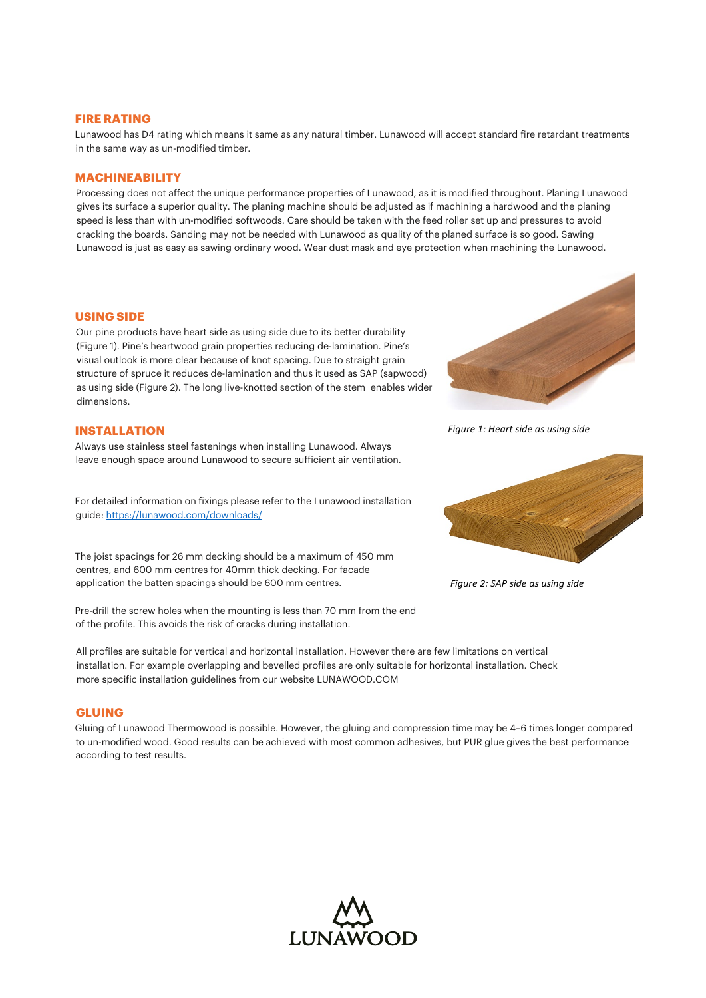### **FIRE RATING**

Lunawood has D4 rating which means it same as any natural timber. Lunawood will accept standard fire retardant treatments in the same way as un-modified timber.

## **MACHINEABILITY**

Processing does not affect the unique performance properties of Lunawood, as it is modified throughout. Planing Lunawood gives its surface a superior quality. The planing machine should be adjusted as if machining a hardwood and the planing speed is less than with un-modified softwoods. Care should be taken with the feed roller set up and pressures to avoid cracking the boards. Sanding may not be needed with Lunawood as quality of the planed surface is so good. Sawing Lunawood is just as easy as sawing ordinary wood. Wear dust mask and eye protection when machining the Lunawood.

#### **USING SIDE**

Our pine products have heart side as using side due to its better durability (Figure 1). Pine's heartwood grain properties reducing de-lamination. Pine's visual outlook is more clear because of knot spacing. Due to straight grain structure of spruce it reduces de-lamination and thus it used as SAP (sapwood) as using side (Figure 2). The long live-knotted section of the stem enables wider dimensions.

#### **INSTALLATION**

Always use stainless steel fastenings when installing Lunawood. Always leave enough space around Lunawood to secure sufficient air ventilation.

For detailed information on fixings please refer to the Lunawood installation guide: <https://lunawood.com/downloads/>

The joist spacings for 26 mm decking should be a maximum of 450 mm centres, and 600 mm centres for 40mm thick decking. For facade application the batten spacings should be 600 mm centres.

Pre-drill the screw holes when the mounting is less than 70 mm from the end of the profile. This avoids the risk of cracks during installation.

All profiles are suitable for vertical and horizontal installation. However there are few limitations on vertical installation. For example overlapping and bevelled profiles are only suitable for horizontal installation. Check more specific installation guidelines from our website LUNAWOOD.COM

# **GLUING**

Gluing of Lunawood Thermowood is possible. However, the gluing and compression time may be 4–6 times longer compared to un-modified wood. Good results can be achieved with most common adhesives, but PUR glue gives the best performance according to test results.





*Figure 1: Heart side as using side*



*Figure 2: SAP side as using side*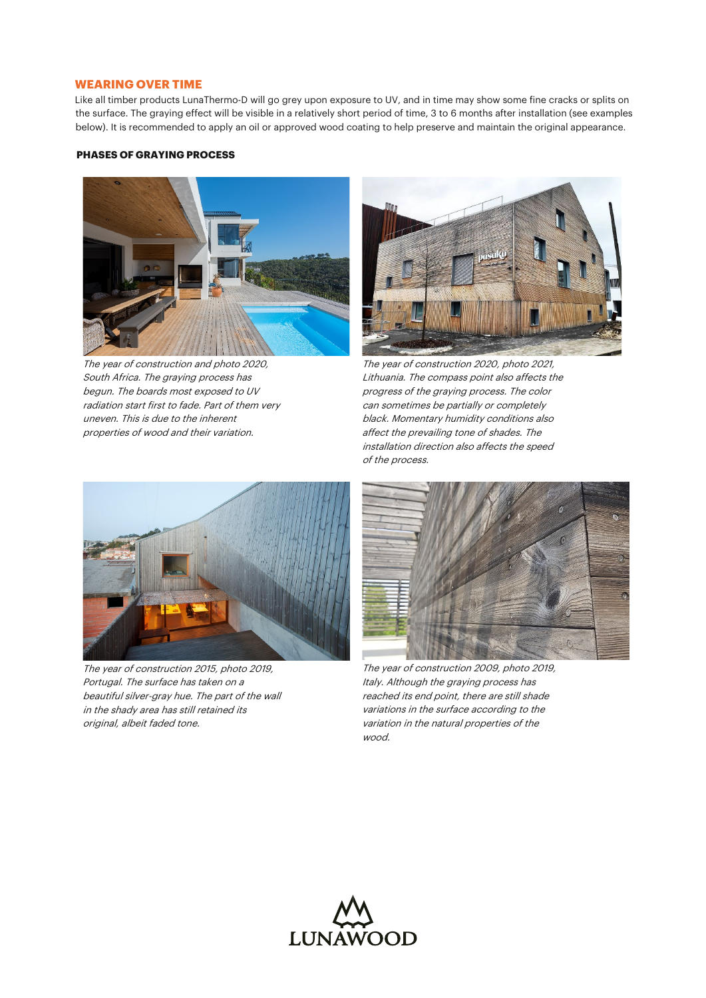# **WEARING OVER TIME**

Like all timber products LunaThermo-D will go grey upon exposure to UV, and in time may show some fine cracks or splits on the surface. The graying effect will be visible in a relatively short period of time, 3 to 6 months after installation (see examples below). It is recommended to apply an oil or approved wood coating to help preserve and maintain the original appearance.

# **PHASES OF GRAYING PROCESS**



The year of construction and photo 2020, South Africa. The graying process has begun. The boards most exposed to UV radiation start first to fade. Part of them very uneven. This is due to the inherent properties of wood and their variation.



The year of construction 2020, photo 2021, Lithuania. The compass point also affects the progress of the graying process. The color can sometimes be partially or completely black. Momentary humidity conditions also affect the prevailing tone of shades. The installation direction also affects the speed of the process.



The year of construction 2015, photo 2019, Portugal. The surface has taken on a beautiful silver-gray hue. The part of the wall in the shady area has still retained its original, albeit faded tone.



The year of construction 2009, photo 2019, Italy. Although the graying process has reached its end point, there are still shade variations in the surface according to the variation in the natural properties of the wood.